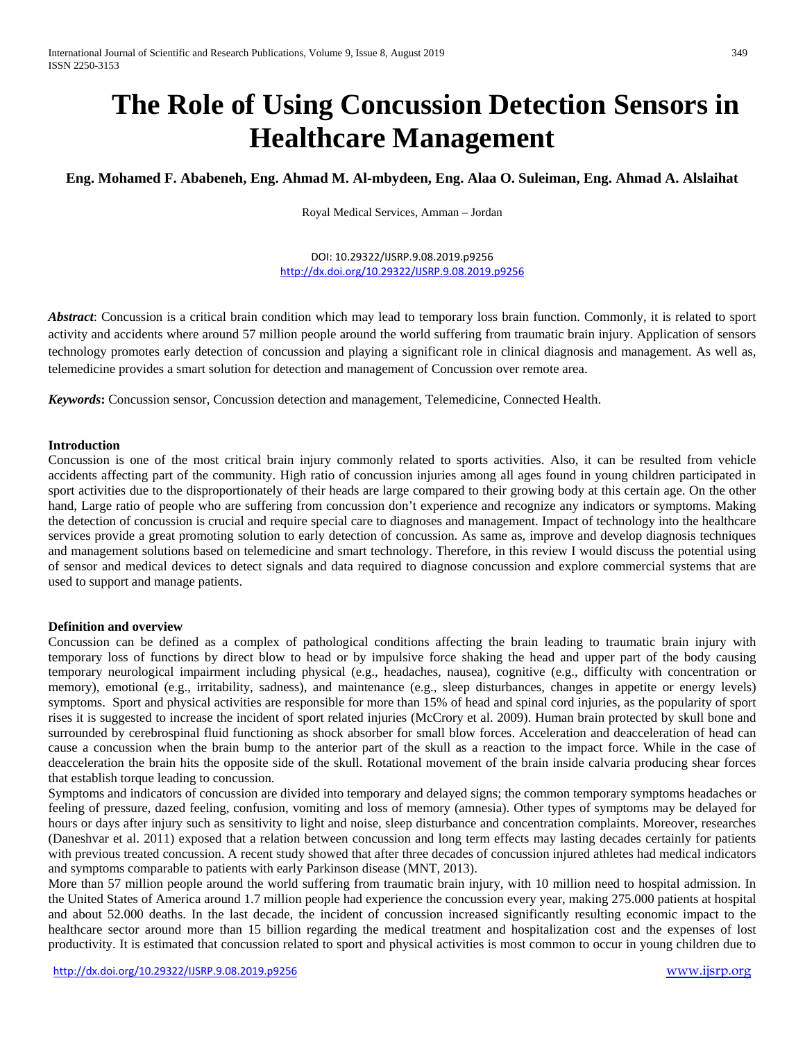# **The Role of Using Concussion Detection Sensors in Healthcare Management**

**Eng. Mohamed F. Ababeneh, Eng. Ahmad M. Al-mbydeen, Eng. Alaa O. Suleiman, Eng. Ahmad A. Alslaihat**

Royal Medical Services, Amman – Jordan

## DOI: 10.29322/IJSRP.9.08.2019.p9256 <http://dx.doi.org/10.29322/IJSRP.9.08.2019.p9256>

*Abstract*: Concussion is a critical brain condition which may lead to temporary loss brain function. Commonly, it is related to sport activity and accidents where around 57 million people around the world suffering from traumatic brain injury. Application of sensors technology promotes early detection of concussion and playing a significant role in clinical diagnosis and management. As well as, telemedicine provides a smart solution for detection and management of Concussion over remote area.

*Keywords***:** Concussion sensor, Concussion detection and management, Telemedicine, Connected Health.

## **Introduction**

Concussion is one of the most critical brain injury commonly related to sports activities. Also, it can be resulted from vehicle accidents affecting part of the community. High ratio of concussion injuries among all ages found in young children participated in sport activities due to the disproportionately of their heads are large compared to their growing body at this certain age. On the other hand, Large ratio of people who are suffering from concussion don't experience and recognize any indicators or symptoms. Making the detection of concussion is crucial and require special care to diagnoses and management. Impact of technology into the healthcare services provide a great promoting solution to early detection of concussion. As same as, improve and develop diagnosis techniques and management solutions based on telemedicine and smart technology. Therefore, in this review I would discuss the potential using of sensor and medical devices to detect signals and data required to diagnose concussion and explore commercial systems that are used to support and manage patients.

## **Definition and overview**

Concussion can be defined as a complex of pathological conditions affecting the brain leading to traumatic brain injury with temporary loss of functions by direct blow to head or by impulsive force shaking the head and upper part of the body causing temporary neurological impairment including physical (e.g., headaches, nausea), cognitive (e.g., difficulty with concentration or memory), emotional (e.g., irritability, sadness), and maintenance (e.g., sleep disturbances, changes in appetite or energy levels) symptoms. Sport and physical activities are responsible for more than 15% of head and spinal cord injuries, as the popularity of sport rises it is suggested to increase the incident of sport related injuries (McCrory et al. 2009). Human brain protected by skull bone and surrounded by cerebrospinal fluid functioning as shock absorber for small blow forces. Acceleration and deacceleration of head can cause a concussion when the brain bump to the anterior part of the skull as a reaction to the impact force. While in the case of deacceleration the brain hits the opposite side of the skull. Rotational movement of the brain inside calvaria producing shear forces that establish torque leading to concussion.

Symptoms and indicators of concussion are divided into temporary and delayed signs; the common temporary symptoms headaches or feeling of pressure, dazed feeling, confusion, vomiting and loss of memory (amnesia). Other types of symptoms may be delayed for hours or days after injury such as sensitivity to light and noise, sleep disturbance and concentration complaints. Moreover, researches (Daneshvar et al. 2011) exposed that a relation between concussion and long term effects may lasting decades certainly for patients with previous treated concussion. A recent study showed that after three decades of concussion injured athletes had medical indicators and symptoms comparable to patients with early Parkinson disease (MNT, 2013).

More than 57 million people around the world suffering from traumatic brain injury, with 10 million need to hospital admission. In the United States of America around 1.7 million people had experience the concussion every year, making 275.000 patients at hospital and about 52.000 deaths. In the last decade, the incident of concussion increased significantly resulting economic impact to the healthcare sector around more than 15 billion regarding the medical treatment and hospitalization cost and the expenses of lost productivity. It is estimated that concussion related to sport and physical activities is most common to occur in young children due to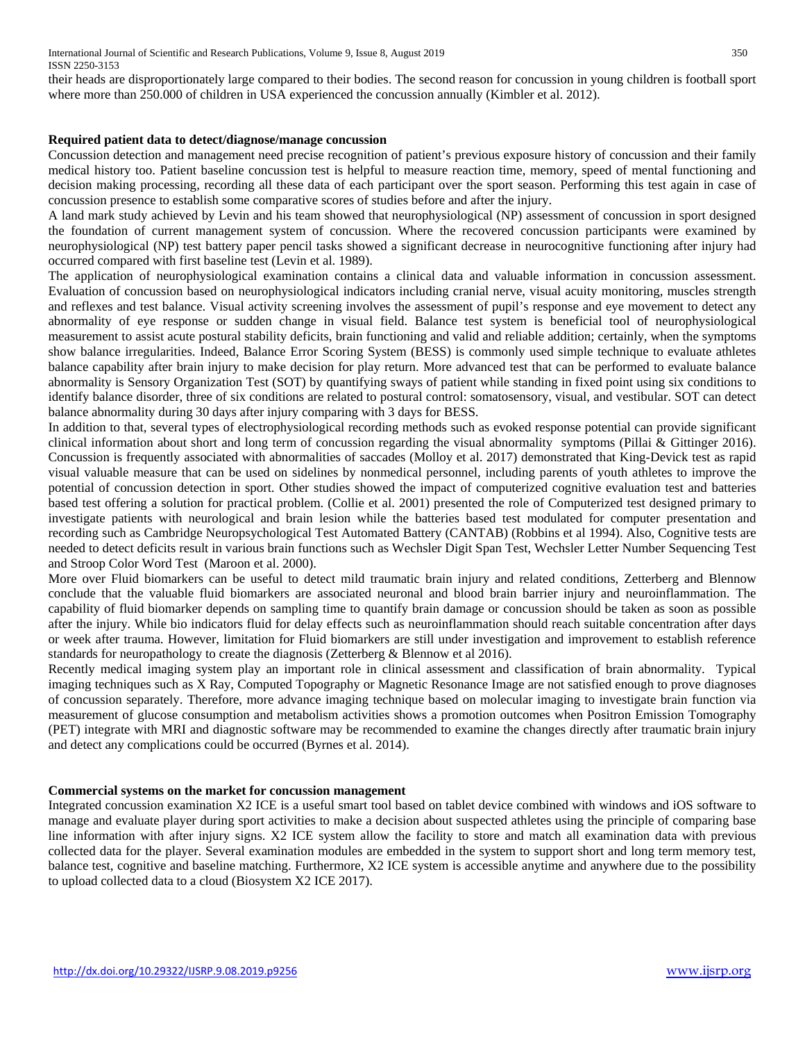#### International Journal of Scientific and Research Publications, Volume 9, Issue 8, August 2019 350 ISSN 2250-3153

their heads are disproportionately large compared to their bodies. The second reason for concussion in young children is football sport where more than 250.000 of children in USA experienced the concussion annually (Kimbler et al. 2012).

#### **Required patient data to detect/diagnose/manage concussion**

Concussion detection and management need precise recognition of patient's previous exposure history of concussion and their family medical history too. Patient baseline concussion test is helpful to measure reaction time, memory, speed of mental functioning and decision making processing, recording all these data of each participant over the sport season. Performing this test again in case of concussion presence to establish some comparative scores of studies before and after the injury.

A land mark study achieved by Levin and his team showed that neurophysiological (NP) assessment of concussion in sport designed the foundation of current management system of concussion. Where the recovered concussion participants were examined by neurophysiological (NP) test battery paper pencil tasks showed a significant decrease in neurocognitive functioning after injury had occurred compared with first baseline test (Levin et al. 1989).

The application of neurophysiological examination contains a clinical data and valuable information in concussion assessment. Evaluation of concussion based on neurophysiological indicators including cranial nerve, visual acuity monitoring, muscles strength and reflexes and test balance. Visual activity screening involves the assessment of pupil's response and eye movement to detect any abnormality of eye response or sudden change in visual field. Balance test system is beneficial tool of neurophysiological measurement to assist acute postural stability deficits, brain functioning and valid and reliable addition; certainly, when the symptoms show balance irregularities. Indeed, Balance Error Scoring System (BESS) is commonly used simple technique to evaluate athletes balance capability after brain injury to make decision for play return. More advanced test that can be performed to evaluate balance abnormality is Sensory Organization Test (SOT) by quantifying sways of patient while standing in fixed point using six conditions to identify balance disorder, three of six conditions are related to postural control: somatosensory, visual, and vestibular. SOT can detect balance abnormality during 30 days after injury comparing with 3 days for BESS.

In addition to that, several types of electrophysiological recording methods such as evoked response potential can provide significant clinical information about short and long term of concussion regarding the visual abnormality symptoms (Pillai & Gittinger 2016). Concussion is frequently associated with abnormalities of saccades (Molloy et al. 2017) demonstrated that King-Devick test as rapid visual valuable measure that can be used on sidelines by nonmedical personnel, including parents of youth athletes to improve the potential of concussion detection in sport. Other studies showed the impact of computerized cognitive evaluation test and batteries based test offering a solution for practical problem. (Collie et al. 2001) presented the role of Computerized test designed primary to investigate patients with neurological and brain lesion while the batteries based test modulated for computer presentation and recording such as Cambridge Neuropsychological Test Automated Battery (CANTAB) (Robbins et al 1994). Also, Cognitive tests are needed to detect deficits result in various brain functions such as Wechsler Digit Span Test, Wechsler Letter Number Sequencing Test and Stroop Color Word Test (Maroon et al. 2000).

More over Fluid biomarkers can be useful to detect mild traumatic brain injury and related conditions, Zetterberg and Blennow conclude that the valuable fluid biomarkers are associated neuronal and blood brain barrier injury and neuroinflammation. The capability of fluid biomarker depends on sampling time to quantify brain damage or concussion should be taken as soon as possible after the injury. While bio indicators fluid for delay effects such as neuroinflammation should reach suitable concentration after days or week after trauma. However, limitation for Fluid biomarkers are still under investigation and improvement to establish reference standards for neuropathology to create the diagnosis (Zetterberg & Blennow et al 2016).

Recently medical imaging system play an important role in clinical assessment and classification of brain abnormality. Typical imaging techniques such as X Ray, Computed Topography or Magnetic Resonance Image are not satisfied enough to prove diagnoses of concussion separately. Therefore, more advance imaging technique based on molecular imaging to investigate brain function via measurement of glucose consumption and metabolism activities shows a promotion outcomes when Positron Emission Tomography (PET) integrate with MRI and diagnostic software may be recommended to examine the changes directly after traumatic brain injury and detect any complications could be occurred (Byrnes et al. 2014).

#### **Commercial systems on the market for concussion management**

Integrated concussion examination X2 ICE is a useful smart tool based on tablet device combined with windows and iOS software to manage and evaluate player during sport activities to make a decision about suspected athletes using the principle of comparing base line information with after injury signs. X2 ICE system allow the facility to store and match all examination data with previous collected data for the player. Several examination modules are embedded in the system to support short and long term memory test, balance test, cognitive and baseline matching. Furthermore, X2 ICE system is accessible anytime and anywhere due to the possibility to upload collected data to a cloud (Biosystem X2 ICE 2017).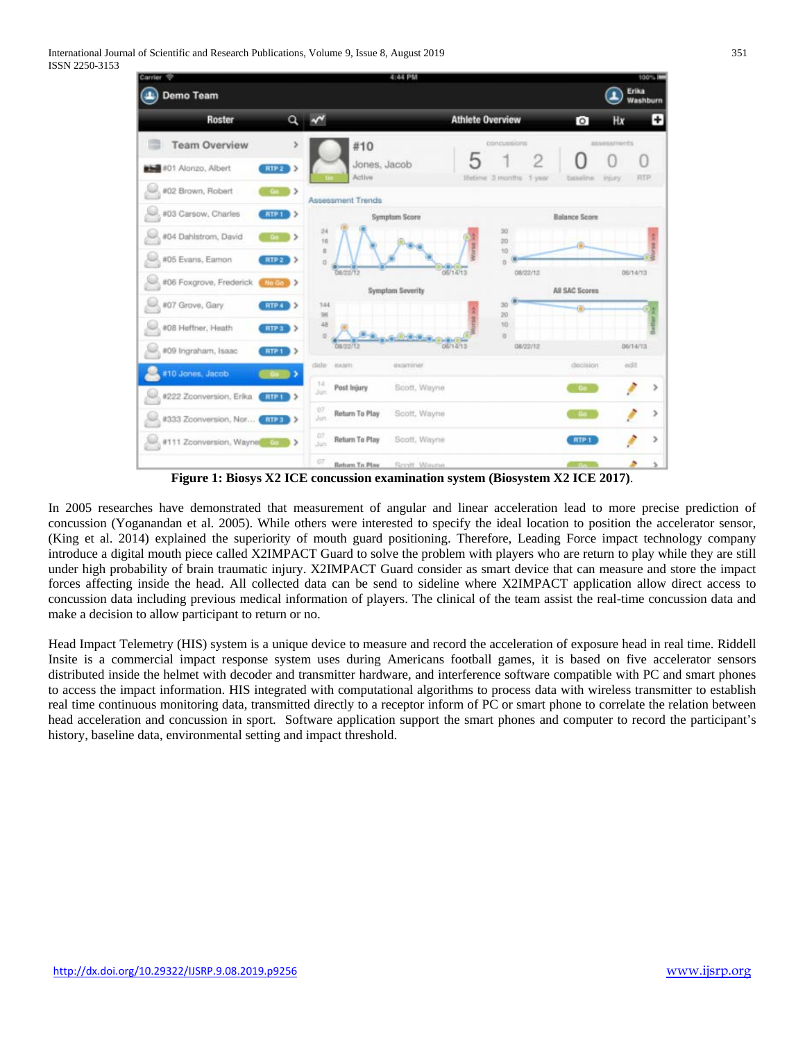International Journal of Scientific and Research Publications, Volume 9, Issue 8, August 2019 351 ISSN 2250-3153



**Figure 1: Biosys X2 ICE concussion examination system (Biosystem X2 ICE 2017)**.

In 2005 researches have demonstrated that measurement of angular and linear acceleration lead to more precise prediction of concussion (Yoganandan et al. 2005). While others were interested to specify the ideal location to position the accelerator sensor, (King et al. 2014) explained the superiority of mouth guard positioning. Therefore, Leading Force impact technology company introduce a digital mouth piece called X2IMPACT Guard to solve the problem with players who are return to play while they are still under high probability of brain traumatic injury. X2IMPACT Guard consider as smart device that can measure and store the impact forces affecting inside the head. All collected data can be send to sideline where X2IMPACT application allow direct access to concussion data including previous medical information of players. The clinical of the team assist the real-time concussion data and make a decision to allow participant to return or no.

Head Impact Telemetry (HIS) system is a unique device to measure and record the acceleration of exposure head in real time. Riddell Insite is a commercial impact response system uses during Americans football games, it is based on five accelerator sensors distributed inside the helmet with decoder and transmitter hardware, and interference software compatible with PC and smart phones to access the impact information. HIS integrated with computational algorithms to process data with wireless transmitter to establish real time continuous monitoring data, transmitted directly to a receptor inform of PC or smart phone to correlate the relation between head acceleration and concussion in sport. Software application support the smart phones and computer to record the participant's history, baseline data, environmental setting and impact threshold.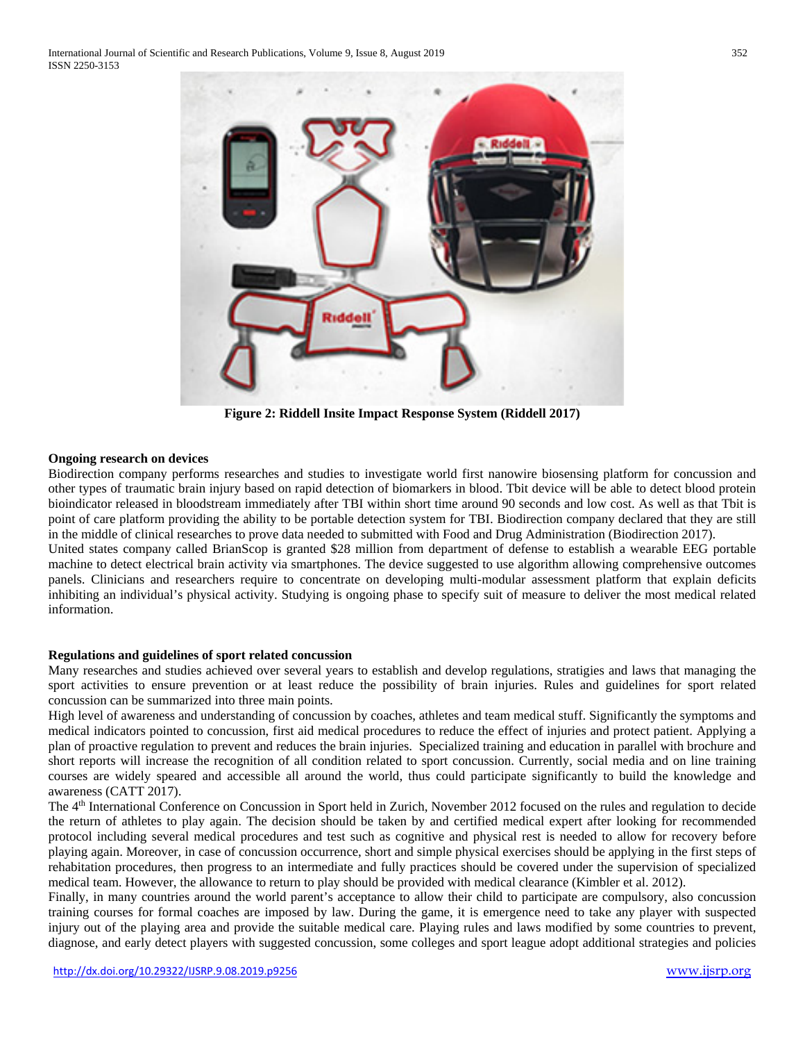

**Figure 2: Riddell Insite Impact Response System (Riddell 2017)**

## **Ongoing research on devices**

Biodirection company performs researches and studies to investigate world first nanowire biosensing platform for concussion and other types of traumatic brain injury based on rapid detection of biomarkers in blood. Tbit device will be able to detect blood protein bioindicator released in bloodstream immediately after TBI within short time around 90 seconds and low cost. As well as that Tbit is point of care platform providing the ability to be portable detection system for TBI. Biodirection company declared that they are still in the middle of clinical researches to prove data needed to submitted with Food and Drug Administration (Biodirection 2017).

United states company called BrianScop is granted \$28 million from department of defense to establish a wearable EEG portable machine to detect electrical brain activity via smartphones. The device suggested to use algorithm allowing comprehensive outcomes panels. Clinicians and researchers require to concentrate on developing multi-modular assessment platform that explain deficits inhibiting an individual's physical activity. Studying is ongoing phase to specify suit of measure to deliver the most medical related information.

## **Regulations and guidelines of sport related concussion**

Many researches and studies achieved over several years to establish and develop regulations, stratigies and laws that managing the sport activities to ensure prevention or at least reduce the possibility of brain injuries. Rules and guidelines for sport related concussion can be summarized into three main points.

High level of awareness and understanding of concussion by coaches, athletes and team medical stuff. Significantly the symptoms and medical indicators pointed to concussion, first aid medical procedures to reduce the effect of injuries and protect patient. Applying a plan of proactive regulation to prevent and reduces the brain injuries. Specialized training and education in parallel with brochure and short reports will increase the recognition of all condition related to sport concussion. Currently, social media and on line training courses are widely speared and accessible all around the world, thus could participate significantly to build the knowledge and awareness (CATT 2017).

The 4<sup>th</sup> International Conference on Concussion in Sport held in Zurich, November 2012 focused on the rules and regulation to decide the return of athletes to play again. The decision should be taken by and certified medical expert after looking for recommended protocol including several medical procedures and test such as cognitive and physical rest is needed to allow for recovery before playing again. Moreover, in case of concussion occurrence, short and simple physical exercises should be applying in the first steps of rehabitation procedures, then progress to an intermediate and fully practices should be covered under the supervision of specialized medical team. However, the allowance to return to play should be provided with medical clearance (Kimbler et al. 2012).

Finally, in many countries around the world parent's acceptance to allow their child to participate are compulsory, also concussion training courses for formal coaches are imposed by law. During the game, it is emergence need to take any player with suspected injury out of the playing area and provide the suitable medical care. Playing rules and laws modified by some countries to prevent, diagnose, and early detect players with suggested concussion, some colleges and sport league adopt additional strategies and policies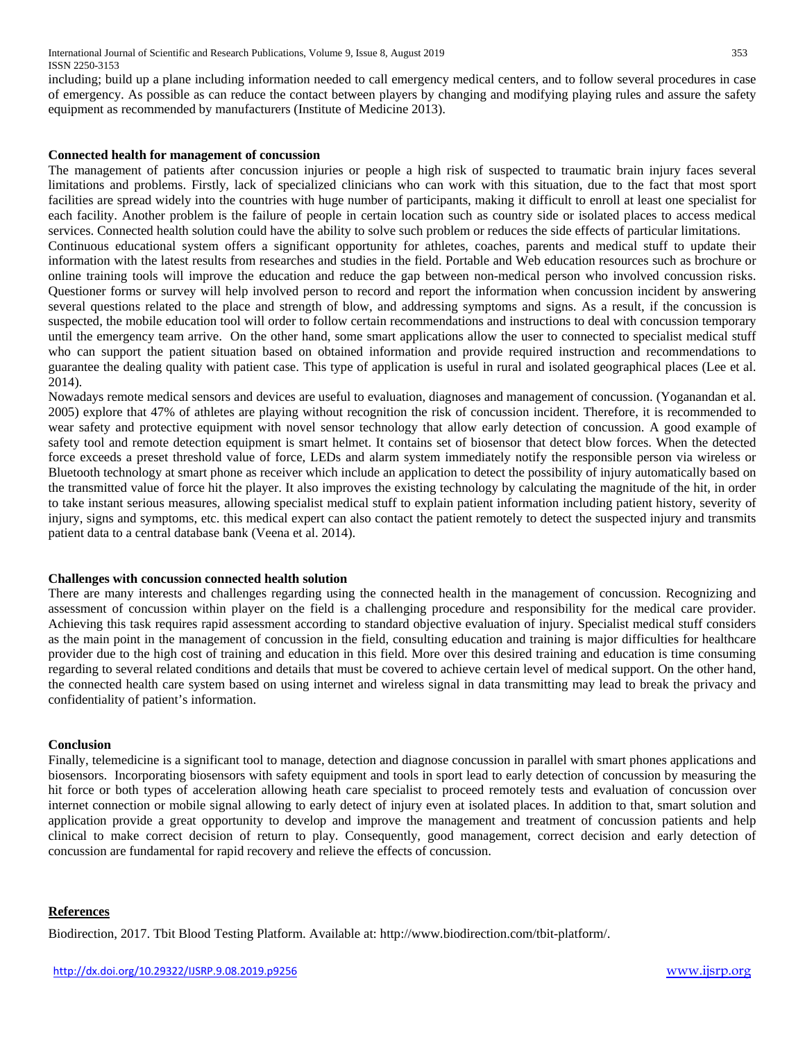International Journal of Scientific and Research Publications, Volume 9, Issue 8, August 2019 353 ISSN 2250-3153

including; build up a plane including information needed to call emergency medical centers, and to follow several procedures in case of emergency. As possible as can reduce the contact between players by changing and modifying playing rules and assure the safety equipment as recommended by manufacturers (Institute of Medicine 2013).

#### **Connected health for management of concussion**

The management of patients after concussion injuries or people a high risk of suspected to traumatic brain injury faces several limitations and problems. Firstly, lack of specialized clinicians who can work with this situation, due to the fact that most sport facilities are spread widely into the countries with huge number of participants, making it difficult to enroll at least one specialist for each facility. Another problem is the failure of people in certain location such as country side or isolated places to access medical services. Connected health solution could have the ability to solve such problem or reduces the side effects of particular limitations. Continuous educational system offers a significant opportunity for athletes, coaches, parents and medical stuff to update their information with the latest results from researches and studies in the field. Portable and Web education resources such as brochure or online training tools will improve the education and reduce the gap between non-medical person who involved concussion risks. Questioner forms or survey will help involved person to record and report the information when concussion incident by answering several questions related to the place and strength of blow, and addressing symptoms and signs. As a result, if the concussion is suspected, the mobile education tool will order to follow certain recommendations and instructions to deal with concussion temporary until the emergency team arrive. On the other hand, some smart applications allow the user to connected to specialist medical stuff who can support the patient situation based on obtained information and provide required instruction and recommendations to guarantee the dealing quality with patient case. This type of application is useful in rural and isolated geographical places (Lee et al. 2014).

Nowadays remote medical sensors and devices are useful to evaluation, diagnoses and management of concussion. (Yoganandan et al. 2005) explore that 47% of athletes are playing without recognition the risk of concussion incident. Therefore, it is recommended to wear safety and protective equipment with novel sensor technology that allow early detection of concussion. A good example of safety tool and remote detection equipment is smart helmet. It contains set of biosensor that detect blow forces. When the detected force exceeds a preset threshold value of force, LEDs and alarm system immediately notify the responsible person via wireless or Bluetooth technology at smart phone as receiver which include an application to detect the possibility of injury automatically based on the transmitted value of force hit the player. It also improves the existing technology by calculating the magnitude of the hit, in order to take instant serious measures, allowing specialist medical stuff to explain patient information including patient history, severity of injury, signs and symptoms, etc. this medical expert can also contact the patient remotely to detect the suspected injury and transmits patient data to a central database bank (Veena et al. 2014).

## **Challenges with concussion connected health solution**

There are many interests and challenges regarding using the connected health in the management of concussion. Recognizing and assessment of concussion within player on the field is a challenging procedure and responsibility for the medical care provider. Achieving this task requires rapid assessment according to standard objective evaluation of injury. Specialist medical stuff considers as the main point in the management of concussion in the field, consulting education and training is major difficulties for healthcare provider due to the high cost of training and education in this field. More over this desired training and education is time consuming regarding to several related conditions and details that must be covered to achieve certain level of medical support. On the other hand, the connected health care system based on using internet and wireless signal in data transmitting may lead to break the privacy and confidentiality of patient's information.

#### **Conclusion**

Finally, telemedicine is a significant tool to manage, detection and diagnose concussion in parallel with smart phones applications and biosensors. Incorporating biosensors with safety equipment and tools in sport lead to early detection of concussion by measuring the hit force or both types of acceleration allowing heath care specialist to proceed remotely tests and evaluation of concussion over internet connection or mobile signal allowing to early detect of injury even at isolated places. In addition to that, smart solution and application provide a great opportunity to develop and improve the management and treatment of concussion patients and help clinical to make correct decision of return to play. Consequently, good management, correct decision and early detection of concussion are fundamental for rapid recovery and relieve the effects of concussion.

## **References**

Biodirection, 2017. Tbit Blood Testing Platform. Available at: http://www.biodirection.com/tbit-platform/.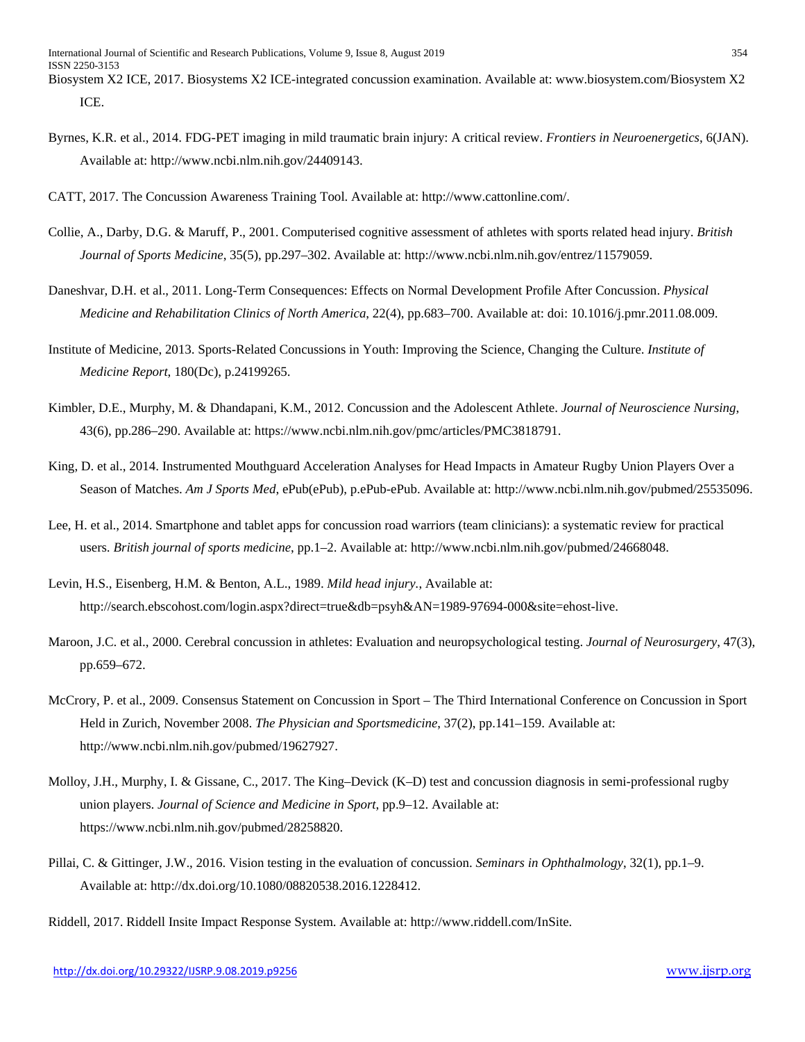Biosystem X2 ICE, 2017. Biosystems X2 ICE-integrated concussion examination. Available at: www.biosystem.com/Biosystem X2 ICE.

- Byrnes, K.R. et al., 2014. FDG-PET imaging in mild traumatic brain injury: A critical review. *Frontiers in Neuroenergetics*, 6(JAN). Available at: http://www.ncbi.nlm.nih.gov/24409143.
- CATT, 2017. The Concussion Awareness Training Tool. Available at: http://www.cattonline.com/.
- Collie, A., Darby, D.G. & Maruff, P., 2001. Computerised cognitive assessment of athletes with sports related head injury. *British Journal of Sports Medicine*, 35(5), pp.297–302. Available at: http://www.ncbi.nlm.nih.gov/entrez/11579059.
- Daneshvar, D.H. et al., 2011. Long-Term Consequences: Effects on Normal Development Profile After Concussion. *Physical Medicine and Rehabilitation Clinics of North America*, 22(4), pp.683–700. Available at: doi: 10.1016/j.pmr.2011.08.009.
- Institute of Medicine, 2013. Sports-Related Concussions in Youth: Improving the Science, Changing the Culture. *Institute of Medicine Report*, 180(Dc), p.24199265.
- Kimbler, D.E., Murphy, M. & Dhandapani, K.M., 2012. Concussion and the Adolescent Athlete. *Journal of Neuroscience Nursing*, 43(6), pp.286–290. Available at: https://www.ncbi.nlm.nih.gov/pmc/articles/PMC3818791.
- King, D. et al., 2014. Instrumented Mouthguard Acceleration Analyses for Head Impacts in Amateur Rugby Union Players Over a Season of Matches. *Am J Sports Med*, ePub(ePub), p.ePub-ePub. Available at: http://www.ncbi.nlm.nih.gov/pubmed/25535096.
- Lee, H. et al., 2014. Smartphone and tablet apps for concussion road warriors (team clinicians): a systematic review for practical users. *British journal of sports medicine*, pp.1–2. Available at: http://www.ncbi.nlm.nih.gov/pubmed/24668048.
- Levin, H.S., Eisenberg, H.M. & Benton, A.L., 1989. *Mild head injury.*, Available at: http://search.ebscohost.com/login.aspx?direct=true&db=psyh&AN=1989-97694-000&site=ehost-live.
- Maroon, J.C. et al., 2000. Cerebral concussion in athletes: Evaluation and neuropsychological testing. *Journal of Neurosurgery*, 47(3), pp.659–672.
- McCrory, P. et al., 2009. Consensus Statement on Concussion in Sport The Third International Conference on Concussion in Sport Held in Zurich, November 2008. *The Physician and Sportsmedicine*, 37(2), pp.141–159. Available at: http://www.ncbi.nlm.nih.gov/pubmed/19627927.
- Molloy, J.H., Murphy, I. & Gissane, C., 2017. The King–Devick (K–D) test and concussion diagnosis in semi-professional rugby union players. *Journal of Science and Medicine in Sport*, pp.9–12. Available at: https://www.ncbi.nlm.nih.gov/pubmed/28258820.
- Pillai, C. & Gittinger, J.W., 2016. Vision testing in the evaluation of concussion. *Seminars in Ophthalmology*, 32(1), pp.1–9. Available at: http://dx.doi.org/10.1080/08820538.2016.1228412.
- Riddell, 2017. Riddell Insite Impact Response System. Available at: http://www.riddell.com/InSite.